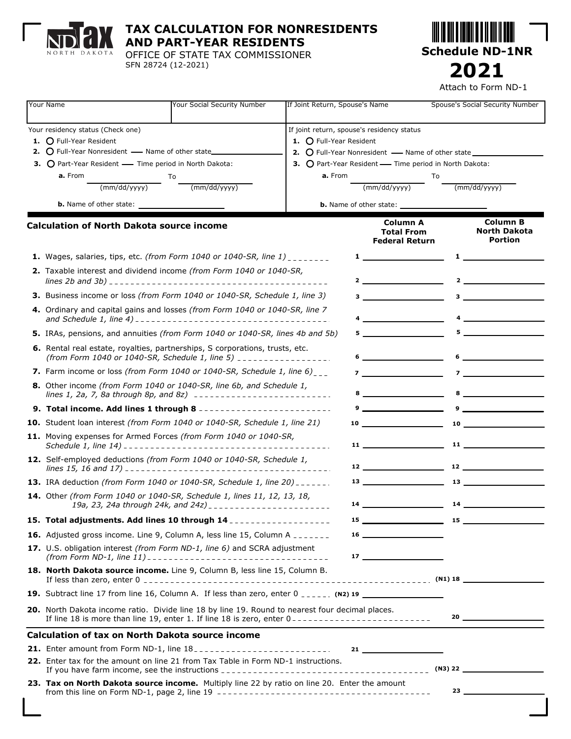

# **TAX CALCULATION FOR NONRESIDENTS AND PART-YEAR RESIDENTS**

OFFICE OF STATE TAX COMMISSIONER SFN 28724 (12-2021)

**Schedule ND-1NR 2021**

**TITAL A DI ANNI A PARTIE** 

Attach to Form ND-1

|                                                         | Your Name                                                                                                                                                                                                                                   | Your Social Security Number | If Joint Return, Spouse's Name<br>Spouse's Social Security Number                                                                                                                                                                                    |                                                                                                                                                                                                                                                                                                            |                                                        |                                                                                                                                                                                                                                                                                                                                                                                                                                                                                                                                      |                                                   |
|---------------------------------------------------------|---------------------------------------------------------------------------------------------------------------------------------------------------------------------------------------------------------------------------------------------|-----------------------------|------------------------------------------------------------------------------------------------------------------------------------------------------------------------------------------------------------------------------------------------------|------------------------------------------------------------------------------------------------------------------------------------------------------------------------------------------------------------------------------------------------------------------------------------------------------------|--------------------------------------------------------|--------------------------------------------------------------------------------------------------------------------------------------------------------------------------------------------------------------------------------------------------------------------------------------------------------------------------------------------------------------------------------------------------------------------------------------------------------------------------------------------------------------------------------------|---------------------------------------------------|
|                                                         | Your residency status (Check one)<br><b>1.</b> $\bigcirc$ Full-Year Resident<br>2. O Full-Year Nonresident - Name of other state<br>3. O Part-Year Resident - Time period in North Dakota:<br>a. From<br>To<br>(mm/dd/yyyy)<br>(mm/dd/yyyy) |                             | If joint return, spouse's residency status<br><b>1.</b> $\bigcirc$ Full-Year Resident<br>2. O Full-Year Nonresident - Name of other state<br>3. O Part-Year Resident - Time period in North Dakota:<br>a. From<br>To<br>(mm/dd/yyyy)<br>(mm/dd/yyyy) |                                                                                                                                                                                                                                                                                                            |                                                        |                                                                                                                                                                                                                                                                                                                                                                                                                                                                                                                                      |                                                   |
|                                                         | <b>b.</b> Name of other state:                                                                                                                                                                                                              |                             |                                                                                                                                                                                                                                                      |                                                                                                                                                                                                                                                                                                            |                                                        |                                                                                                                                                                                                                                                                                                                                                                                                                                                                                                                                      |                                                   |
|                                                         | <b>Calculation of North Dakota source income</b>                                                                                                                                                                                            |                             |                                                                                                                                                                                                                                                      |                                                                                                                                                                                                                                                                                                            | Column A<br><b>Total From</b><br><b>Federal Return</b> |                                                                                                                                                                                                                                                                                                                                                                                                                                                                                                                                      | Column B<br><b>North Dakota</b><br><b>Portion</b> |
|                                                         | <b>1.</b> Wages, salaries, tips, etc. (from Form 1040 or 1040-SR, line 1) $\frac{1}{2}$<br>2. Taxable interest and dividend income (from Form 1040 or 1040-SR,                                                                              |                             |                                                                                                                                                                                                                                                      | $\mathbf 1$ and $\mathbf 1$ and $\mathbf 1$ and $\mathbf 1$ and $\mathbf 1$ and $\mathbf 1$ and $\mathbf 1$ and $\mathbf 1$ and $\mathbf 1$ and $\mathbf 1$ and $\mathbf 1$ and $\mathbf 1$ and $\mathbf 1$ and $\mathbf 1$ and $\mathbf 1$ and $\mathbf 1$ and $\mathbf 1$ and $\mathbf 1$ and $\mathbf $ | $\mathbf{1}$                                           |                                                                                                                                                                                                                                                                                                                                                                                                                                                                                                                                      |                                                   |
|                                                         | 3. Business income or loss (from Form 1040 or 1040-SR, Schedule 1, line 3)                                                                                                                                                                  |                             |                                                                                                                                                                                                                                                      | $\overline{\mathbf{3}}$ , and the set of $\mathbf{3}$                                                                                                                                                                                                                                                      |                                                        | $3 \quad \qquad$                                                                                                                                                                                                                                                                                                                                                                                                                                                                                                                     |                                                   |
|                                                         | 4. Ordinary and capital gains and losses (from Form 1040 or 1040-SR, line 7                                                                                                                                                                 |                             |                                                                                                                                                                                                                                                      |                                                                                                                                                                                                                                                                                                            |                                                        |                                                                                                                                                                                                                                                                                                                                                                                                                                                                                                                                      |                                                   |
|                                                         | 5. IRAs, pensions, and annuities (from Form 1040 or 1040-SR, lines 4b and 5b)                                                                                                                                                               |                             |                                                                                                                                                                                                                                                      |                                                                                                                                                                                                                                                                                                            | $5 - 5$                                                |                                                                                                                                                                                                                                                                                                                                                                                                                                                                                                                                      | $5 - 5$                                           |
|                                                         | 6. Rental real estate, royalties, partnerships, S corporations, trusts, etc.<br>(from Form 1040 or 1040-SR, Schedule 1, line 5) __________________                                                                                          |                             |                                                                                                                                                                                                                                                      |                                                                                                                                                                                                                                                                                                            |                                                        |                                                                                                                                                                                                                                                                                                                                                                                                                                                                                                                                      |                                                   |
|                                                         | 7. Farm income or loss (from Form 1040 or 1040-SR, Schedule 1, line $6)_{--}$                                                                                                                                                               |                             |                                                                                                                                                                                                                                                      | $7 \overline{\phantom{a}}$                                                                                                                                                                                                                                                                                 |                                                        | $7 \overline{\phantom{a}}$                                                                                                                                                                                                                                                                                                                                                                                                                                                                                                           |                                                   |
|                                                         | 8. Other income (from Form 1040 or 1040-SR, line 6b, and Schedule 1,<br>lines 1, 2a, 7, 8a through 8p, and 8z) ---------------------------                                                                                                  |                             |                                                                                                                                                                                                                                                      | $8\,$                                                                                                                                                                                                                                                                                                      |                                                        | $8$ and $100$ and $100$ and $100$ and $100$                                                                                                                                                                                                                                                                                                                                                                                                                                                                                          |                                                   |
|                                                         | 9. Total income. Add lines 1 through 8 -------------------------                                                                                                                                                                            |                             |                                                                                                                                                                                                                                                      |                                                                                                                                                                                                                                                                                                            | 9 <u>____________</u> _                                |                                                                                                                                                                                                                                                                                                                                                                                                                                                                                                                                      | $9 \hspace{0.1cm}$                                |
|                                                         | 10. Student loan interest (from Form 1040 or 1040-SR, Schedule 1, line 21)                                                                                                                                                                  |                             |                                                                                                                                                                                                                                                      | $10 \quad \qquad$                                                                                                                                                                                                                                                                                          |                                                        |                                                                                                                                                                                                                                                                                                                                                                                                                                                                                                                                      |                                                   |
|                                                         | 11. Moving expenses for Armed Forces (from Form 1040 or 1040-SR,                                                                                                                                                                            |                             |                                                                                                                                                                                                                                                      |                                                                                                                                                                                                                                                                                                            | $11$ and $11$ and $11$ and $11$ and $11$               |                                                                                                                                                                                                                                                                                                                                                                                                                                                                                                                                      |                                                   |
|                                                         | 12. Self-employed deductions (from Form 1040 or 1040-SR, Schedule 1,                                                                                                                                                                        |                             |                                                                                                                                                                                                                                                      |                                                                                                                                                                                                                                                                                                            |                                                        | $\begin{array}{c c c c c} \hline \end{array} \qquad \qquad \begin{array}{c} \hline \end{array} \qquad \qquad \begin{array}{c} \hline \end{array} \qquad \qquad \begin{array}{c} \hline \end{array} \qquad \qquad \begin{array}{c} \hline \end{array} \qquad \qquad \begin{array}{c} \hline \end{array} \qquad \qquad \begin{array}{c} \hline \end{array} \qquad \qquad \begin{array}{c} \hline \end{array} \qquad \qquad \begin{array}{c} \hline \end{array} \qquad \qquad \begin{array}{c} \hline \end{array} \qquad \qquad \begin$ |                                                   |
|                                                         | 13. IRA deduction (from Form 1040 or 1040-SR, Schedule 1, line $20$ ) ______.                                                                                                                                                               |                             |                                                                                                                                                                                                                                                      |                                                                                                                                                                                                                                                                                                            |                                                        | $13 \overline{\phantom{1}}$ $13 \overline{\phantom{1}}$ $13 \overline{\phantom{1}}$                                                                                                                                                                                                                                                                                                                                                                                                                                                  |                                                   |
|                                                         | 14. Other (from Form 1040 or 1040-SR, Schedule 1, lines 11, 12, 13, 18,                                                                                                                                                                     |                             |                                                                                                                                                                                                                                                      | 14                                                                                                                                                                                                                                                                                                         |                                                        | $14 \quad \overline{\quad}$                                                                                                                                                                                                                                                                                                                                                                                                                                                                                                          |                                                   |
|                                                         | 15. Total adjustments. Add lines 10 through 14 _______________                                                                                                                                                                              |                             |                                                                                                                                                                                                                                                      | $15 \quad \overline{\quad}$                                                                                                                                                                                                                                                                                |                                                        |                                                                                                                                                                                                                                                                                                                                                                                                                                                                                                                                      |                                                   |
|                                                         | 16. Adjusted gross income. Line 9, Column A, less line 15, Column A _______                                                                                                                                                                 |                             |                                                                                                                                                                                                                                                      | $16 \quad \overline{\quad}$                                                                                                                                                                                                                                                                                |                                                        |                                                                                                                                                                                                                                                                                                                                                                                                                                                                                                                                      |                                                   |
|                                                         | 17. U.S. obligation interest (from Form ND-1, line 6) and SCRA adjustment                                                                                                                                                                   |                             |                                                                                                                                                                                                                                                      | $17 \quad \overbrace{\qquad \qquad }$                                                                                                                                                                                                                                                                      |                                                        |                                                                                                                                                                                                                                                                                                                                                                                                                                                                                                                                      |                                                   |
|                                                         | 18. North Dakota source income. Line 9, Column B, less line 15, Column B.                                                                                                                                                                   |                             |                                                                                                                                                                                                                                                      |                                                                                                                                                                                                                                                                                                            |                                                        |                                                                                                                                                                                                                                                                                                                                                                                                                                                                                                                                      |                                                   |
|                                                         | 19. Subtract line 17 from line 16, Column A. If less than zero, enter 0 ______. (N2) 19 _____________________                                                                                                                               |                             |                                                                                                                                                                                                                                                      |                                                                                                                                                                                                                                                                                                            |                                                        |                                                                                                                                                                                                                                                                                                                                                                                                                                                                                                                                      |                                                   |
|                                                         | 20. North Dakota income ratio. Divide line 18 by line 19. Round to nearest four decimal places.                                                                                                                                             |                             |                                                                                                                                                                                                                                                      |                                                                                                                                                                                                                                                                                                            |                                                        |                                                                                                                                                                                                                                                                                                                                                                                                                                                                                                                                      | $20$ $\overline{\phantom{a}}$                     |
| <b>Calculation of tax on North Dakota source income</b> |                                                                                                                                                                                                                                             |                             |                                                                                                                                                                                                                                                      |                                                                                                                                                                                                                                                                                                            |                                                        |                                                                                                                                                                                                                                                                                                                                                                                                                                                                                                                                      |                                                   |
|                                                         |                                                                                                                                                                                                                                             |                             |                                                                                                                                                                                                                                                      |                                                                                                                                                                                                                                                                                                            |                                                        |                                                                                                                                                                                                                                                                                                                                                                                                                                                                                                                                      |                                                   |
|                                                         | 22. Enter tax for the amount on line 21 from Tax Table in Form ND-1 instructions.                                                                                                                                                           |                             |                                                                                                                                                                                                                                                      |                                                                                                                                                                                                                                                                                                            |                                                        |                                                                                                                                                                                                                                                                                                                                                                                                                                                                                                                                      |                                                   |
|                                                         | 23. Tax on North Dakota source income. Multiply line 22 by ratio on line 20. Enter the amount                                                                                                                                               |                             |                                                                                                                                                                                                                                                      |                                                                                                                                                                                                                                                                                                            |                                                        |                                                                                                                                                                                                                                                                                                                                                                                                                                                                                                                                      |                                                   |
|                                                         |                                                                                                                                                                                                                                             |                             |                                                                                                                                                                                                                                                      |                                                                                                                                                                                                                                                                                                            |                                                        |                                                                                                                                                                                                                                                                                                                                                                                                                                                                                                                                      |                                                   |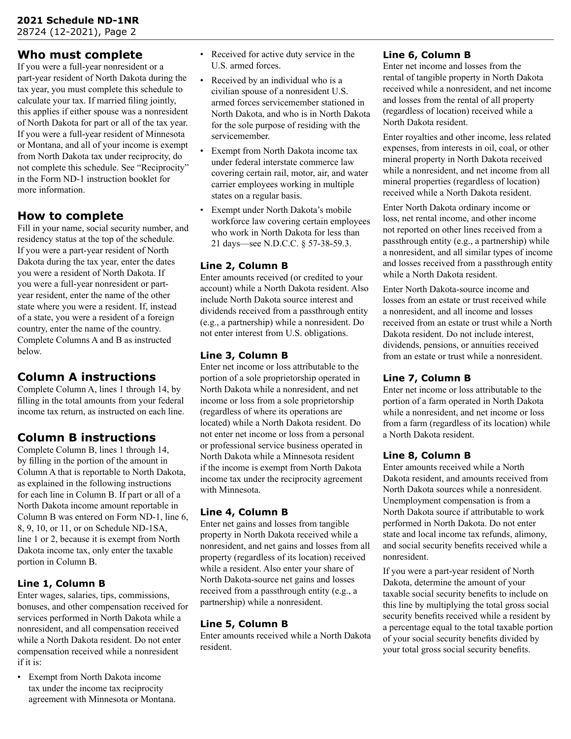28724 (12-2021), Page 2

## **Who must complete**

If you were a full-year nonresident or a part-year resident of North Dakota during the tax year, you must complete this schedule to calculate your tax. If married filing jointly, this applies if either spouse was a nonresident of North Dakota for part or all of the tax year. If you were a full-year resident of Minnesota or Montana, and all of your income is exempt from North Dakota tax under reciprocity, do not complete this schedule. See "Reciprocity" in the Form ND-1 instruction booklet for more information.

# **How to complete**

Fill in your name, social security number, and residency status at the top of the schedule. If you were a part-year resident of North Dakota during the tax year, enter the dates you were a resident of North Dakota. If you were a full-year nonresident or partyear resident, enter the name of the other state where you were a resident. If, instead of a state, you were a resident of a foreign country, enter the name of the country. Complete Columns A and B as instructed below.

# **Column A instructions**

Complete Column A, lines 1 through 14, by filling in the total amounts from your federal income tax return, as instructed on each line.

# **Column B instructions**

Complete Column B, lines 1 through 14, by filling in the portion of the amount in Column A that is reportable to North Dakota, as explained in the following instructions for each line in Column B. If part or all of a North Dakota income amount reportable in Column B was entered on Form ND-1, line 6, 8, 9, 10, or 11, or on Schedule ND-1SA, line 1 or 2, because it is exempt from North Dakota income tax, only enter the taxable portion in Column B.

## **Line 1, Column B**

Enter wages, salaries, tips, commissions, bonuses, and other compensation received for services performed in North Dakota while a nonresident, and all compensation received while a North Dakota resident. Do not enter compensation received while a nonresident if it is:

• Exempt from North Dakota income tax under the income tax reciprocity agreement with Minnesota or Montana.

- Received for active duty service in the U.S. armed forces.
- Received by an individual who is a civilian spouse of a nonresident U.S. armed forces servicemember stationed in North Dakota, and who is in North Dakota for the sole purpose of residing with the servicemember.
- Exempt from North Dakota income tax under federal interstate commerce law covering certain rail, motor, air, and water carrier employees working in multiple states on a regular basis.
- Exempt under North Dakota's mobile workforce law covering certain employees who work in North Dakota for less than 21 days—see N.D.C.C. § 57-38-59.3.

## **Line 2, Column B**

Enter amounts received (or credited to your account) while a North Dakota resident. Also include North Dakota source interest and dividends received from a passthrough entity (e.g., a partnership) while a nonresident. Do not enter interest from U.S. obligations.

## **Line 3, Column B**

Enter net income or loss attributable to the portion of a sole proprietorship operated in North Dakota while a nonresident, and net income or loss from a sole proprietorship (regardless of where its operations are located) while a North Dakota resident. Do not enter net income or loss from a personal or professional service business operated in North Dakota while a Minnesota resident if the income is exempt from North Dakota income tax under the reciprocity agreement with Minnesota.

## **Line 4, Column B**

Enter net gains and losses from tangible property in North Dakota received while a nonresident, and net gains and losses from all property (regardless of its location) received while a resident. Also enter your share of North Dakota-source net gains and losses received from a passthrough entity (e.g., a partnership) while a nonresident.

## **Line 5, Column B**

Enter amounts received while a North Dakota resident.

## **Line 6, Column B**

Enter net income and losses from the rental of tangible property in North Dakota received while a nonresident, and net income and losses from the rental of all property (regardless of location) received while a North Dakota resident.

Enter royalties and other income, less related expenses, from interests in oil, coal, or other mineral property in North Dakota received while a nonresident, and net income from all mineral properties (regardless of location) received while a North Dakota resident.

Enter North Dakota ordinary income or loss, net rental income, and other income not reported on other lines received from a passthrough entity (e.g., a partnership) while a nonresident, and all similar types of income and losses received from a passthrough entity while a North Dakota resident.

Enter North Dakota-source income and losses from an estate or trust received while a nonresident, and all income and losses received from an estate or trust while a North Dakota resident. Do not include interest, dividends, pensions, or annuities received from an estate or trust while a nonresident.

## **Line 7, Column B**

Enter net income or loss attributable to the portion of a farm operated in North Dakota while a nonresident, and net income or loss from a farm (regardless of its location) while a North Dakota resident.

## **Line 8, Column B**

Enter amounts received while a North Dakota resident, and amounts received from North Dakota sources while a nonresident. Unemployment compensation is from a North Dakota source if attributable to work performed in North Dakota. Do not enter state and local income tax refunds, alimony, and social security benefits received while a nonresident.

If you were a part-year resident of North Dakota, determine the amount of your taxable social security benefits to include on this line by multiplying the total gross social security benefits received while a resident by a percentage equal to the total taxable portion of your social security benefits divided by your total gross social security benefits.